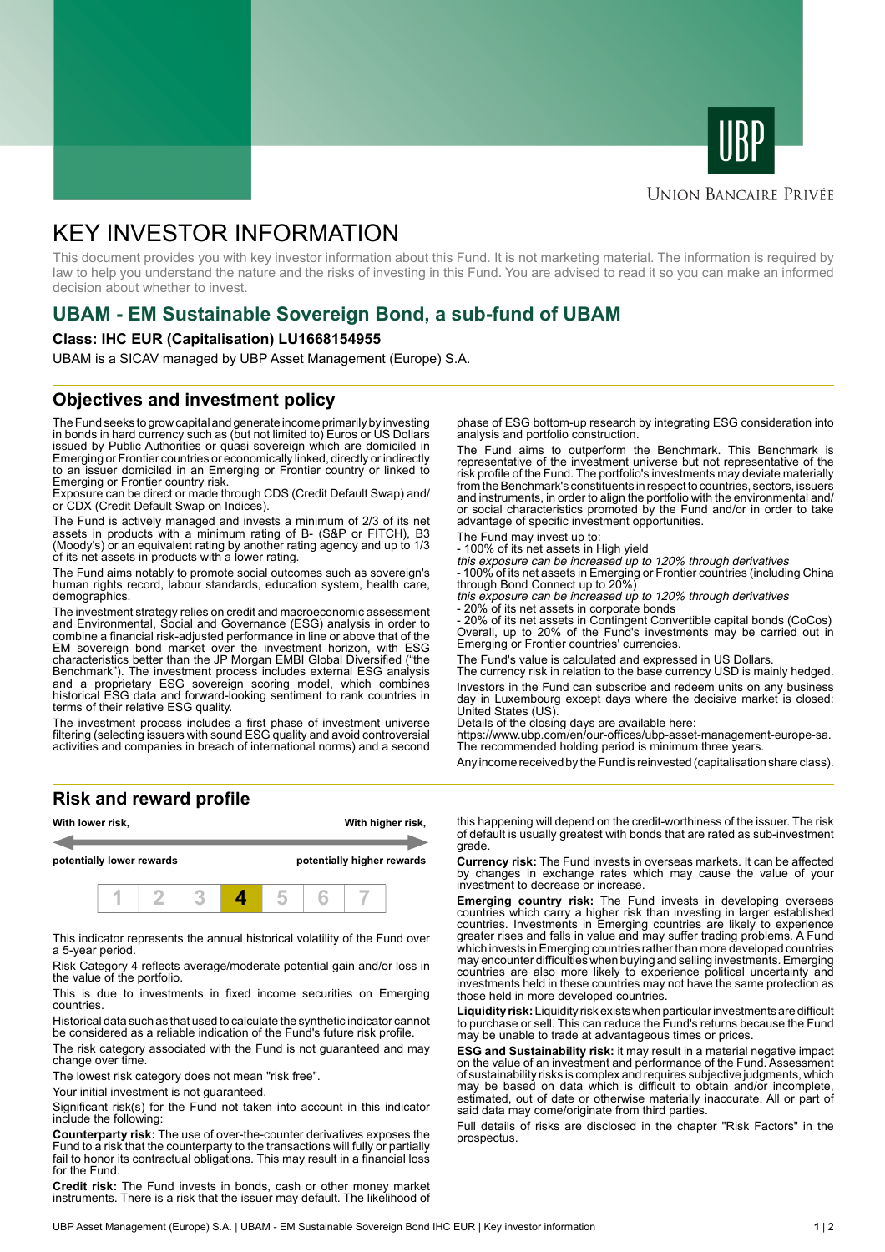



### **UNION BANCAIRE PRIVÉE**

# KEY INVESTOR INFORMATION

This document provides you with key investor information about this Fund. It is not marketing material. The information is required by law to help you understand the nature and the risks of investing in this Fund. You are advised to read it so you can make an informed decision about whether to invest.

# **UBAM - EM Sustainable Sovereign Bond, a sub-fund of UBAM**

### **Class: IHC EUR (Capitalisation) LU1668154955**

UBAM is a SICAV managed by UBP Asset Management (Europe) S.A.

### **Objectives and investment policy**

The Fund seeks to grow capital and generate income primarily by investing in bonds in hard currency such as (but not limited to) Euros or US Dollars issued by Public Authorities or quasi sovereign which are domiciled in Emerging or Frontier countries or economically linked, directly or indirectly to an issuer domiciled in an Emerging or Frontier country or linked to Emerging or Frontier country risk.

Exposure can be direct or made through CDS (Credit Default Swap) and/ or CDX (Credit Default Swap on Indices).

The Fund is actively managed and invests a minimum of 2/3 of its net assets in products with a minimum rating of B- (S&P or FITCH), B3 (Moody's) or an equivalent rating by another rating agency and up to 1/3 of its net assets in products with a lower rating.

The Fund aims notably to promote social outcomes such as sovereign's human rights record, labour standards, education system, health care, demographics.

The investment strategy relies on credit and macroeconomic assessment and Environmental, Social and Governance (ESG) analysis in order to combine a financial risk-adjusted performance in line or above that of the EM sovereign bond market over the investment horizon, with ESG characteristics better than the JP Morgan EMBI Global Diversified ("the Benchmark"). The investment process includes external ESG analysis and a proprietary ESG sovereign scoring model, which combines historical ESG data and forward-looking sentiment to rank countries in terms of their relative ESG quality.

The investment process includes a first phase of investment universe filtering (selecting issuers with sound ESG quality and avoid controversial activities and companies in breach of international norms) and a second

**Risk and reward profile**



This indicator represents the annual historical volatility of the Fund over a 5-year period.

Risk Category 4 reflects average/moderate potential gain and/or loss in the value of the portfolio.

This is due to investments in fixed income securities on Emerging countries.

Historical data such as that used to calculate the synthetic indicator cannot be considered as a reliable indication of the Fund's future risk profile.

The risk category associated with the Fund is not guaranteed and may change over time.

The lowest risk category does not mean "risk free".

Your initial investment is not guaranteed.

Significant risk(s) for the Fund not taken into account in this indicator include the following:

**Counterparty risk:** The use of over-the-counter derivatives exposes the Fund to a risk that the counterparty to the transactions will fully or partially fail to honor its contractual obligations. This may result in a financial loss for the Fund.

**Credit risk:** The Fund invests in bonds, cash or other money market instruments. There is a risk that the issuer may default. The likelihood of

phase of ESG bottom-up research by integrating ESG consideration into analysis and portfolio construction.

The Fund aims to outperform the Benchmark. This Benchmark is representative of the investment universe but not representative of the risk profile of the Fund. The portfolio's investments may deviate materially from the Benchmark's constituents in respect to countries, sectors, issuers and instruments, in order to align the portfolio with the environmental and/ or social characteristics promoted by the Fund and/or in order to take advantage of specific investment opportunities.

The Fund may invest up to:

- 100% of its net assets in High yield

this exposure can be increased up to 120% through derivatives - 100% of its net assets in Emerging or Frontier countries (including China

through Bond Connect up to 20%) this exposure can be increased up to 120% through derivatives

20% of its net assets in corporate bonds

- 20% of its net assets in Contingent Convertible capital bonds (CoCos) Overall, up to 20% of the Fund's investments may be carried out in Emerging or Frontier countries' currencies.

The Fund's value is calculated and expressed in US Dollars.

The currency risk in relation to the base currency USD is mainly hedged. Investors in the Fund can subscribe and redeem units on any business day in Luxembourg except days where the decisive market is closed: United States (US).

Details of the closing days are available here:

https://www.ubp.com/en/our-offices/ubp-asset-management-europe-sa. The recommended holding period is minimum three years.

Any income received by the Fund is reinvested (capitalisation share class).

this happening will depend on the credit-worthiness of the issuer. The risk of default is usually greatest with bonds that are rated as sub-investment grade.

**Currency risk:** The Fund invests in overseas markets. It can be affected by changes in exchange rates which may cause the value of your investment to decrease or increase.

**Emerging country risk:** The Fund invests in developing overseas countries which carry a higher risk than investing in larger established countries. Investments in Emerging countries are likely to experience greater rises and falls in value and may suffer trading problems. A Fund which invests in Emerging countries rather than more developed countries may encounter difficulties when buying and selling investments. Emerging countries are also more likely to experience political uncertainty and investments held in these countries may not have the same protection as those held in more developed countries.

**Liquidity risk:** Liquidity risk exists when particular investments are difficult to purchase or sell. This can reduce the Fund's returns because the Fund may be unable to trade at advantageous times or prices.

**ESG and Sustainability risk:** it may result in a material negative impact on the value of an investment and performance of the Fund. Assessment of sustainability risks is complex and requires subjective judgments, which may be based on data which is difficult to obtain and/or incomplete, estimated, out of date or otherwise materially inaccurate. All or part of said data may come/originate from third parties.

Full details of risks are disclosed in the chapter "Risk Factors" in the prospectus.